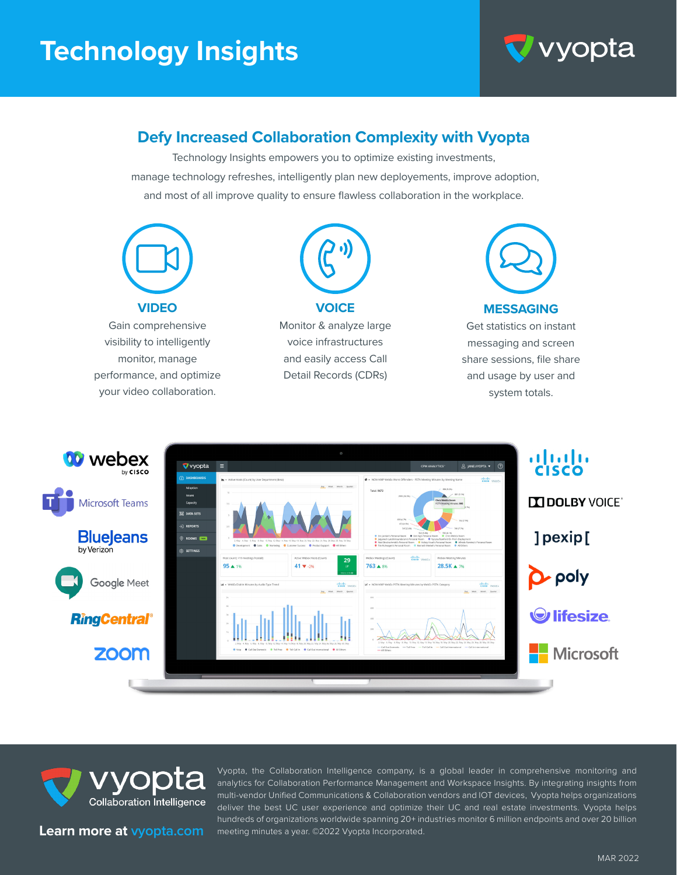# **Technology Insights**



### **Defy Increased Collaboration Complexity with Vyopta**

Technology Insights empowers you to optimize existing investments, manage technology refreshes, intelligently plan new deployements, improve adoption, and most of all improve quality to ensure flawless collaboration in the workplace.







**Learn more at vyopta.com**

Vyopta, the Collaboration Intelligence company, is a global leader in comprehensive monitoring and analytics for Collaboration Performance Management and Workspace Insights. By integrating insights from multi-vendor Unified Communications & Collaboration vendors and IOT devices, Vyopta helps organizations deliver the best UC user experience and optimize their UC and real estate investments. Vyopta helps hundreds of organizations worldwide spanning 20+ industries monitor 6 million endpoints and over 20 billion meeting minutes a year. ©2022 Vyopta Incorporated.